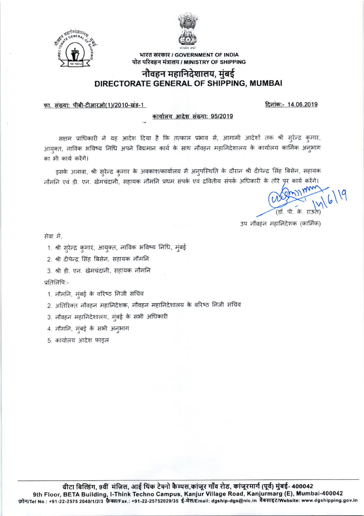



भारत सरकार / GOVERNMENT OF INDIA पोत परिवहन मंत्रालय / MINISTRY OF SHIPPING

## नौवहन महानिदेशालय, मुंबई DIRECTORATE GENERAL OF SHIPPING, MUMBAI

फा. संख्या: पीबी-टीआरओ(1)/2010-खंड-1

दिनांक:- 14.06.2019

#### कार्यालय आदेश संख्या: 95/2019

सक्षम प्राधिकारी ने यह आदेश दिया है कि तत्काल प्रभाव से, आगामी आदेशों तक श्री सुरेन्द्र कुमार, आयुक्त, नाविक भविष्य निधि अपने विद्ममान कार्य के साथ नौवहन महानिदेशालय के कार्यालय कार्मिक अनुभाग का भी कार्य करेंगे।

इसके अलावा, श्री सुरेन्द्र कुमार के अवकाश/कार्यालय में अनुपस्थिति के दौरान श्री दीपेन्द्र सिंह बिसेन, सहायक नौमनि एवं डी. एन. खेमचंदानी, सहायक नौमनि प्रथम संपर्क एवं द्रवितीय संपर्क अधिकारी के तौरे पृर कार्य करेंगे।

उप नौवहन महानिदेशक (कार्मिक)

सेवा में.

1. श्री सुरेन्द्र कुमार, आयुक्त, नाविक भविष्य निधि, मुंबई

2. श्री दीपेन्द्र सिंह बिसेन, सहायक नौमनि

3. श्री डी. एन. खेमचंदानी, सहायक नौमनि

प्रतिलिपि:-

1. नौमनि, मुंबई के वरिष्ठ निजी सचिव

2. अतिरिक्त नौवहन महानिदेशक, नौवहन महानिदेशालय के वरिष्ठ निजी सचिव

3. नौवहन महानिदेशालय, मुंबई के सभी अधिकारी

4. नौमनि, मुंबई के सभी अनुभाग

5. कार्यालय आदेश फाइल